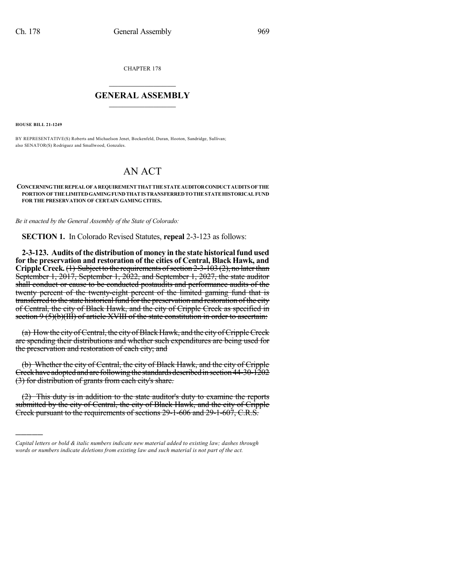CHAPTER 178

## $\overline{\phantom{a}}$  . The set of the set of the set of the set of the set of the set of the set of the set of the set of the set of the set of the set of the set of the set of the set of the set of the set of the set of the set o **GENERAL ASSEMBLY**  $\frac{1}{\sqrt{2}}$

**HOUSE BILL 21-1249**

)))))

BY REPRESENTATIVE(S) Roberts and Michaelson Jenet, Bockenfeld, Duran, Hooton, Sandridge, Sullivan; also SENATOR(S) Rodriguez and Smallwood, Gonzales.

## AN ACT

## **CONCERNINGTHEREPEALOFAREQUIREMENTTHATTHESTATEAUDITORCONDUCTAUDITS OFTHE PORTIONOFTHELIMITEDGAMINGFUNDTHATIS TRANSFERREDTOTHESTATEHISTORICALFUND FOR THE PRESERVATION OF CERTAIN GAMING CITIES.**

*Be it enacted by the General Assembly of the State of Colorado:*

**SECTION 1.** In Colorado Revised Statutes, **repeal** 2-3-123 as follows:

**2-3-123. Audits of the distribution of money in the state historical fund used for the preservation and restoration of the cities of Central, Black Hawk, and Cripple** Creek. (1) Subject to the requirements of section 2-3-103 (2), no later than September 1, 2017, September 1, 2022, and September 1, 2027, the state auditor shall conduct or cause to be conducted postaudits and performance audits of the twenty percent of the twenty-eight percent of the limited gaming fund that is transferred to the state historical fund for the preservation and restoration of the city of Central, the city of Black Hawk, and the city of Cripple Creek as specified in section 9 (5)(b)(III) of article XVIII of the state constitution in order to ascertain:

(a) How the city of Central, the city of Black Hawk, and the city of Cripple Creek are spending their distributions and whether such expenditures are being used for the preservation and restoration of each city; and

(b) Whether the city of Central, the city of Black Hawk, and the city of Cripple Creek have adopted and are following the standards described in section 44-30-1202 (3) for distribution of grants from each city's share.

(2) This duty is in addition to the state auditor's duty to examine the reports submitted by the city of Central, the city of Black Hawk, and the city of Cripple Creek pursuant to the requirements of sections 29-1-606 and 29-1-607, C.R.S.

*Capital letters or bold & italic numbers indicate new material added to existing law; dashes through words or numbers indicate deletions from existing law and such material is not part of the act.*